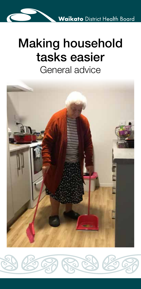# Making household tasks easier General advice



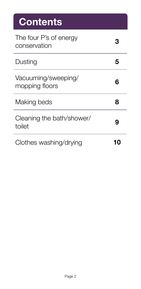# **Contents** The four P's of energy conservation **<sup>3</sup>** Dusting **5** Vacuuming/sweeping/ mopping floors **<sup>6</sup>** Making beds **8** Cleaning the bath/shower/ bicaning the bath shower.<br>toilet Clothes washing/drying **10**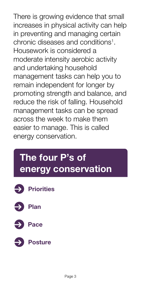There is growing evidence that small increases in physical activity can help in preventing and managing certain chronic diseases and conditions1 . Housework is considered a moderate intensity aerobic activity and undertaking household management tasks can help you to remain independent for longer by promoting strength and balance, and reduce the risk of falling. Household management tasks can be spread across the week to make them easier to manage. This is called energy conservation.

## **The four P's of energy conservation**

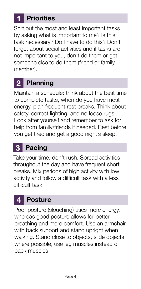### **1 Priorities**

Sort out the most and least important tasks by asking what is important to me? Is this task necessary? Do I have to do this? Don't forget about social activities and if tasks are not important to you, don't do them or get someone else to do them (friend or family member).

### **2 Planning**

Maintain a schedule: think about the best time to complete tasks, when do you have most energy, plan frequent rest breaks. Think about safety, correct lighting, and no loose rugs. Look after yourself and remember to ask for help from family/friends if needed. Rest before you get tired and get a good night's sleep.

#### **3 Pacing**

Take your time, don't rush. Spread activities throughout the day and have frequent short breaks. Mix periods of high activity with low activity and follow a difficult task with a less difficult task.

#### **4 Posture**

Poor posture (slouching) uses more energy, whereas good posture allows for better breathing and more comfort. Use an armchair with back support and stand upright when walking. Stand close to objects, slide objects where possible, use leg muscles instead of back muscles.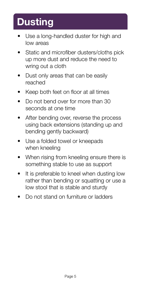## **Dusting**

- Use a long-handled duster for high and low areas
- Static and microfiber dusters/cloths pick up more dust and reduce the need to wring out a cloth
- Dust only areas that can be easily reached
- Keep both feet on floor at all times
- Do not bend over for more than 30 seconds at one time
- After bending over, reverse the process using back extensions (standing up and bending gently backward)
- Use a folded towel or kneepads when kneeling
- When rising from kneeling ensure there is something stable to use as support
- It is preferable to kneel when dusting low rather than bending or squatting or use a low stool that is stable and sturdy
- Do not stand on furniture or ladders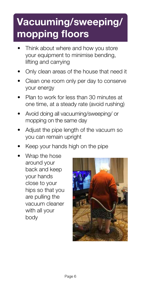# **Vacuuming/sweeping/ mopping floors**

- Think about where and how you store your equipment to minimise bending, lifting and carrying
- Only clean areas of the house that need it
- Clean one room only per day to conserve your energy
- Plan to work for less than 30 minutes at one time, at a steady rate (avoid rushing)
- Avoid doing all vacuuming/sweeping/ or mopping on the same day
- Adjust the pipe length of the vacuum so you can remain upright
- Keep your hands high on the pipe
- Wrap the hose around your back and keep your hands close to your hips so that you are pulling the vacuum cleaner with all your body

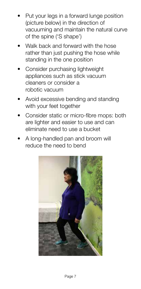- Put your legs in a forward lunge position (picture below) in the direction of vacuuming and maintain the natural curve of the spine ('S shape')
- Walk back and forward with the hose rather than just pushing the hose while standing in the one position
- Consider purchasing lightweight appliances such as stick vacuum cleaners or consider a robotic vacuum
- Avoid excessive bending and standing with your feet together
- Consider static or micro-fibre mops: both are lighter and easier to use and can eliminate need to use a bucket
- A long-handled pan and broom will reduce the need to bend

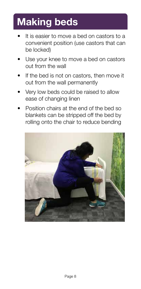## **Making beds**

- It is easier to move a bed on castors to a convenient position (use castors that can be locked)
- Use your knee to move a bed on castors out from the wall
- If the bed is not on castors, then move it out from the wall permanently
- Very low beds could be raised to allow ease of changing linen
- Position chairs at the end of the bed so blankets can be stripped off the bed by rolling onto the chair to reduce bending

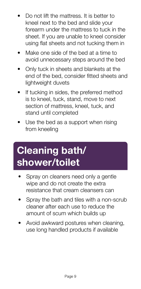- Do not lift the mattress. It is better to kneel next to the bed and slide your forearm under the mattress to tuck in the sheet. If you are unable to kneel consider using flat sheets and not tucking them in
- Make one side of the bed at a time to avoid unnecessary steps around the bed
- Only tuck in sheets and blankets at the end of the bed, consider fitted sheets and lightweight duvets
- If tucking in sides, the preferred method is to kneel, tuck, stand, move to next section of mattress, kneel, tuck, and stand until completed
- Use the bed as a support when rising from kneeling

## **Cleaning bath/ shower/toilet**

- Spray on cleaners need only a gentle wipe and do not create the extra resistance that cream cleansers can
- Spray the bath and tiles with a non-scrub cleaner after each use to reduce the amount of scum which builds up
- Avoid awkward postures when cleaning, use long handled products if available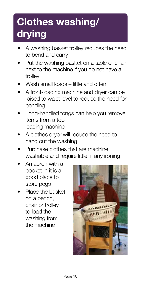# **Clothes washing/ drying**

- A washing basket trolley reduces the need to bend and carry
- Put the washing basket on a table or chair next to the machine if you do not have a trolley
- Wash small loads little and often
- A front-loading machine and dryer can be raised to waist level to reduce the need for bending
- Long-handled tongs can help you remove items from a top loading machine
- A clothes dryer will reduce the need to hang out the washing
- Purchase clothes that are machine washable and require little, if any ironing
- An apron with a pocket in it is a good place to store pegs
- Place the basket on a bench, chair or trolley to load the washing from the machine

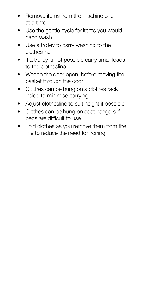- Remove items from the machine one at a time
- Use the gentle cycle for items you would hand wash
- Use a trolley to carry washing to the clothesline
- If a trolley is not possible carry small loads to the clothesline
- Wedge the door open, before moving the basket through the door
- Clothes can be hung on a clothes rack inside to minimise carrying
- Adjust clothesline to suit height if possible
- Clothes can be hung on coat hangers if pegs are difficult to use
- Fold clothes as you remove them from the line to reduce the need for ironing